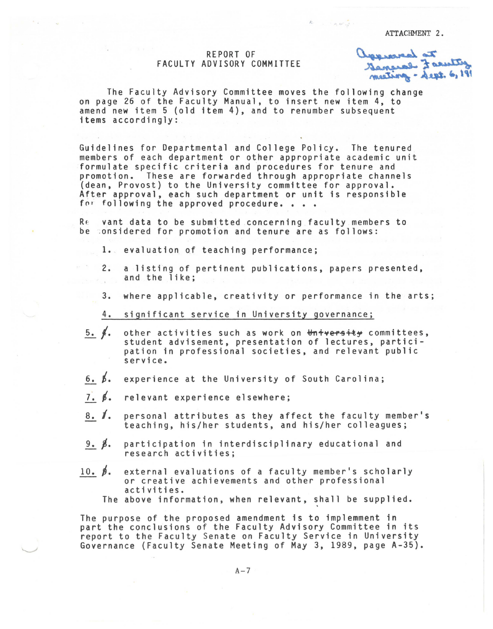ATTACHMENT 2.

 $k$  :  $\frac{1}{2}$  :

## REPORT OF FACULTY ADVISORY COMMITTEE

to be receipted.<br>There is a receipt muting - Sept. 6, 191

The Faculty Advisory Committee moves the following change on page 26 of the Faculty Manual, to insert new item 4, to amend new item 5 (old item 4), and to renumber subsequent items accordingly:

Guidelines for Departmental and College Policy. The tenured members of each department or other appropriate academic unit formulate specific criteria and procedures for tenure and promotion. These are forwarded through appropriate channels<br>(dean, Provost) to the University committee for approval. After approval, each such department or unit is responsible<br>for following the approved procedure. . . .

Re vant data to be submitted concerning faculty members to be considered for promotion and tenure are as follows:

1. evaluation of teaching performance;

- 2. a listing of pertinent publications, papers presented, and the like;
- 3. where applicable, creativity or performance in the arts;
- 4. significant service in University governance;
- $5.$   $\frac{4}{1}$ other activities such as work on <del>University</del> committees, student advisement, presentation of lectures, participation in professional societies, and relevant public service.
- $6.~\beta.$ experience at the University of South Carolina;
- 7. *t.*  relevant experience elsewhere;
- 8. /. personal attributes as they affect the faculty member's teaching, his/her students, and his/her colleagues;
- $9. \beta.$ participation in interdisciplinary educational and research activities;
- $10. \beta.$ external evaluations of a faculty member's scholarly or creative achievements and other professional activities.

The above information, when relevant, shall be supplied.

The purpose of the proposed amendment is to implemment in part the conclusions of the Faculty Advisory Committee in its report to the Faculty Senate on Faculty Service in University Governance (Faculty Senate Meeting of May 3, 1989, page A-35).